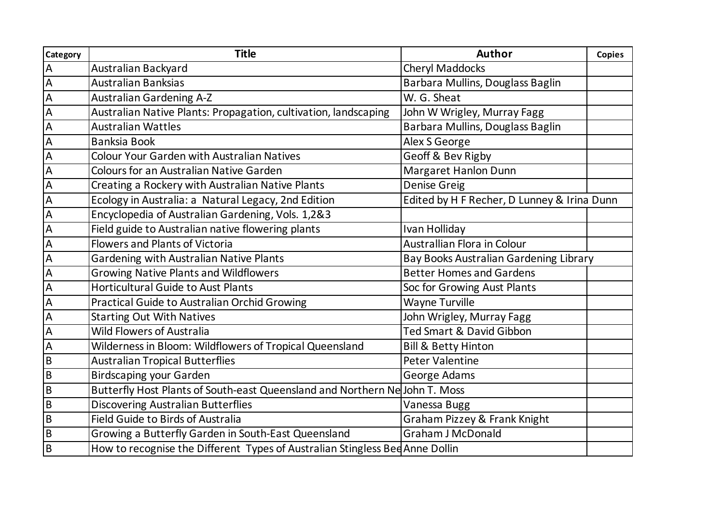| <b>Category</b> | <b>Title</b>                                                                 | Author                                      | <b>Copies</b> |
|-----------------|------------------------------------------------------------------------------|---------------------------------------------|---------------|
| $\overline{A}$  | Australian Backyard                                                          | <b>Cheryl Maddocks</b>                      |               |
| $\overline{A}$  | <b>Australian Banksias</b>                                                   | Barbara Mullins, Douglass Baglin            |               |
| A               | <b>Australian Gardening A-Z</b>                                              | W. G. Sheat                                 |               |
| $\overline{A}$  | Australian Native Plants: Propagation, cultivation, landscaping              | John W Wrigley, Murray Fagg                 |               |
| $\overline{A}$  | <b>Australian Wattles</b>                                                    | Barbara Mullins, Douglass Baglin            |               |
| $\overline{A}$  | <b>Banksia Book</b>                                                          | Alex S George                               |               |
| $\overline{A}$  | <b>Colour Your Garden with Australian Natives</b>                            | Geoff & Bev Rigby                           |               |
| $\overline{A}$  | <b>Colours for an Australian Native Garden</b>                               | Margaret Hanlon Dunn                        |               |
| $\overline{A}$  | Creating a Rockery with Australian Native Plants                             | <b>Denise Greig</b>                         |               |
| A               | Ecology in Australia: a Natural Legacy, 2nd Edition                          | Edited by H F Recher, D Lunney & Irina Dunn |               |
| $\overline{A}$  | Encyclopedia of Australian Gardening, Vols. 1,2&3                            |                                             |               |
| $\overline{A}$  | Field guide to Australian native flowering plants                            | Ivan Holliday                               |               |
| A               | <b>Flowers and Plants of Victoria</b>                                        | <b>Australlian Flora in Colour</b>          |               |
| $\overline{A}$  | Gardening with Australian Native Plants                                      | Bay Books Australian Gardening Library      |               |
| $\overline{A}$  | <b>Growing Native Plants and Wildflowers</b>                                 | <b>Better Homes and Gardens</b>             |               |
| $\overline{A}$  | <b>Horticultural Guide to Aust Plants</b>                                    | Soc for Growing Aust Plants                 |               |
| $\overline{A}$  | <b>Practical Guide to Australian Orchid Growing</b>                          | <b>Wayne Turville</b>                       |               |
| $\overline{A}$  | <b>Starting Out With Natives</b>                                             | John Wrigley, Murray Fagg                   |               |
| A               | <b>Wild Flowers of Australia</b>                                             | <b>Ted Smart &amp; David Gibbon</b>         |               |
| $\overline{A}$  | Wilderness in Bloom: Wildflowers of Tropical Queensland                      | <b>Bill &amp; Betty Hinton</b>              |               |
| B               | <b>Australian Tropical Butterflies</b>                                       | <b>Peter Valentine</b>                      |               |
| $\overline{a}$  | <b>Birdscaping your Garden</b>                                               | George Adams                                |               |
| B               | Butterfly Host Plants of South-east Queensland and Northern Ne John T. Moss  |                                             |               |
| $\overline{a}$  | <b>Discovering Australian Butterflies</b>                                    | Vanessa Bugg                                |               |
| $\overline{B}$  | <b>Field Guide to Birds of Australia</b>                                     | Graham Pizzey & Frank Knight                |               |
| B               | Growing a Butterfly Garden in South-East Queensland                          | <b>Graham J McDonald</b>                    |               |
| $\overline{B}$  | How to recognise the Different Types of Australian Stingless Bed Anne Dollin |                                             |               |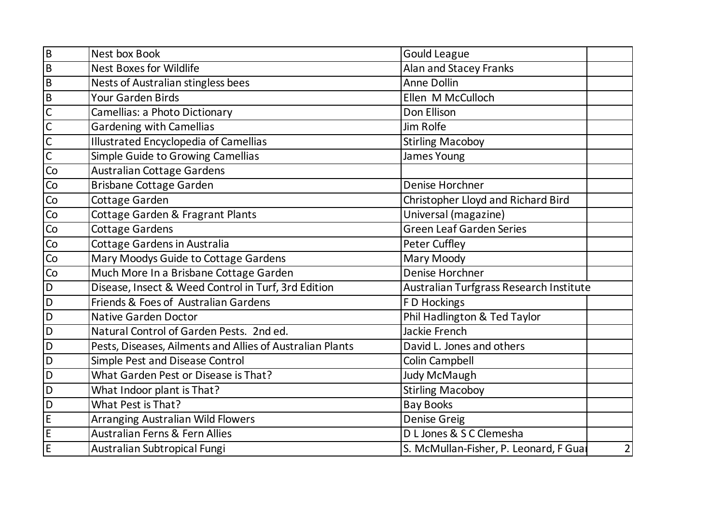| $\overline{B}$         | Nest box Book                                             | <b>Gould League</b>                     |                |
|------------------------|-----------------------------------------------------------|-----------------------------------------|----------------|
| $\overline{B}$         | <b>Nest Boxes for Wildlife</b>                            | Alan and Stacey Franks                  |                |
| $\overline{B}$         | Nests of Australian stingless bees                        | <b>Anne Dollin</b>                      |                |
| $\sf B$                | Your Garden Birds                                         | Ellen M McCulloch                       |                |
| $\overline{C}$         | Camellias: a Photo Dictionary                             | Don Ellison                             |                |
| $\overline{C}$         | <b>Gardening with Camellias</b>                           | Jim Rolfe                               |                |
| $\overline{C}$         | <b>Illustrated Encyclopedia of Camellias</b>              | <b>Stirling Macoboy</b>                 |                |
| $\overline{C}$         | Simple Guide to Growing Camellias                         | <b>James Young</b>                      |                |
| $\overline{\text{Co}}$ | Australian Cottage Gardens                                |                                         |                |
| Co                     | <b>Brisbane Cottage Garden</b>                            | Denise Horchner                         |                |
| Co                     | Cottage Garden                                            | Christopher Lloyd and Richard Bird      |                |
| Co                     | Cottage Garden & Fragrant Plants                          | Universal (magazine)                    |                |
| Co                     | <b>Cottage Gardens</b>                                    | <b>Green Leaf Garden Series</b>         |                |
| Co                     | Cottage Gardens in Australia                              | Peter Cuffley                           |                |
| Co                     | Mary Moodys Guide to Cottage Gardens                      | Mary Moody                              |                |
| Co                     | Much More In a Brisbane Cottage Garden                    | Denise Horchner                         |                |
| $\mathsf D$            | Disease, Insect & Weed Control in Turf, 3rd Edition       | Australian Turfgrass Research Institute |                |
| $\mathsf D$            | Friends & Foes of Australian Gardens                      | F D Hockings                            |                |
| $\mathsf D$            | <b>Native Garden Doctor</b>                               | Phil Hadlington & Ted Taylor            |                |
| D                      | Natural Control of Garden Pests. 2nd ed.                  | Jackie French                           |                |
| D                      | Pests, Diseases, Ailments and Allies of Australian Plants | David L. Jones and others               |                |
| $\mathsf D$            | Simple Pest and Disease Control                           | Colin Campbell                          |                |
| D                      | What Garden Pest or Disease is That?                      | Judy McMaugh                            |                |
| D                      | What Indoor plant is That?                                | <b>Stirling Macoboy</b>                 |                |
| D                      | What Pest is That?                                        | <b>Bay Books</b>                        |                |
| $\mathsf E$            | Arranging Australian Wild Flowers                         | <b>Denise Greig</b>                     |                |
| $\mathsf E$            | <b>Australian Ferns &amp; Fern Allies</b>                 | D L Jones & S C Clemesha                |                |
| E                      | Australian Subtropical Fungi                              | S. McMullan-Fisher, P. Leonard, F Gual  | $\overline{2}$ |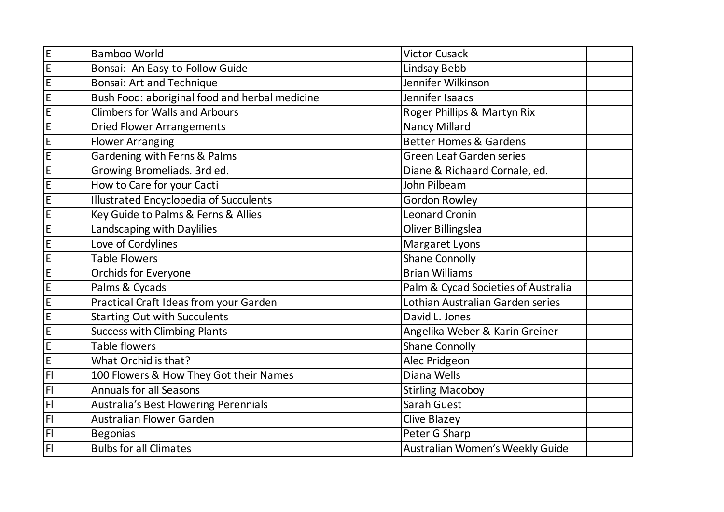| E              | <b>Bamboo World</b>                            | <b>Victor Cusack</b>                |  |
|----------------|------------------------------------------------|-------------------------------------|--|
| E              | Bonsai: An Easy-to-Follow Guide                | Lindsay Bebb                        |  |
| E              | <b>Bonsai: Art and Technique</b>               | Jennifer Wilkinson                  |  |
| $\mathsf E$    | Bush Food: aboriginal food and herbal medicine | Jennifer Isaacs                     |  |
| E              | <b>Climbers for Walls and Arbours</b>          | Roger Phillips & Martyn Rix         |  |
| E              | <b>Dried Flower Arrangements</b>               | <b>Nancy Millard</b>                |  |
| $\mathsf E$    | <b>Flower Arranging</b>                        | <b>Better Homes &amp; Gardens</b>   |  |
| E              | Gardening with Ferns & Palms                   | <b>Green Leaf Garden series</b>     |  |
| $\mathsf E$    | Growing Bromeliads. 3rd ed.                    | Diane & Richaard Cornale, ed.       |  |
| E              | How to Care for your Cacti                     | John Pilbeam                        |  |
| E              | <b>Illustrated Encyclopedia of Succulents</b>  | <b>Gordon Rowley</b>                |  |
| $\mathsf E$    | Key Guide to Palms & Ferns & Allies            | <b>Leonard Cronin</b>               |  |
| E              | Landscaping with Daylilies                     | <b>Oliver Billingslea</b>           |  |
| E              | Love of Cordylines                             | Margaret Lyons                      |  |
| $\mathsf E$    | <b>Table Flowers</b>                           | <b>Shane Connolly</b>               |  |
| $\mathsf E$    | <b>Orchids for Everyone</b>                    | <b>Brian Williams</b>               |  |
| E              | Palms & Cycads                                 | Palm & Cycad Societies of Australia |  |
| $\mathsf E$    | Practical Craft Ideas from your Garden         | Lothian Australian Garden series    |  |
| $\mathsf E$    | <b>Starting Out with Succulents</b>            | David L. Jones                      |  |
| E              | <b>Success with Climbing Plants</b>            | Angelika Weber & Karin Greiner      |  |
| $\mathsf E$    | Table flowers                                  | <b>Shane Connolly</b>               |  |
| $\mathsf E$    | What Orchid is that?                           | Alec Pridgeon                       |  |
| F              | 100 Flowers & How They Got their Names         | Diana Wells                         |  |
| F <sub>l</sub> | <b>Annuals for all Seasons</b>                 | <b>Stirling Macoboy</b>             |  |
| F <sub>l</sub> | <b>Australia's Best Flowering Perennials</b>   | Sarah Guest                         |  |
| $\overline{F}$ | <b>Australian Flower Garden</b>                | Clive Blazey                        |  |
| F <sub>l</sub> | <b>Begonias</b>                                | Peter G Sharp                       |  |
| F              | <b>Bulbs for all Climates</b>                  | Australian Women's Weekly Guide     |  |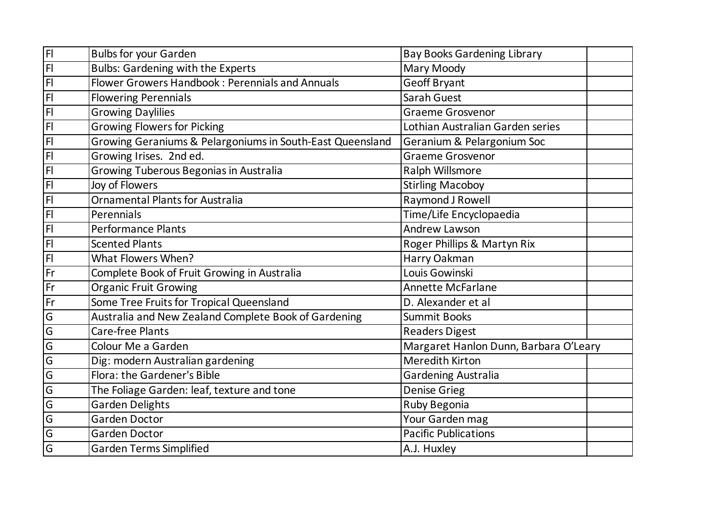| FI             | <b>Bulbs for your Garden</b>                              | <b>Bay Books Gardening Library</b>    |  |
|----------------|-----------------------------------------------------------|---------------------------------------|--|
| $\overline{F}$ | <b>Bulbs: Gardening with the Experts</b>                  | Mary Moody                            |  |
| $\overline{F}$ | Flower Growers Handbook: Perennials and Annuals           | <b>Geoff Bryant</b>                   |  |
| F              | <b>Flowering Perennials</b>                               | Sarah Guest                           |  |
| $\overline{H}$ | <b>Growing Daylilies</b>                                  | <b>Graeme Grosvenor</b>               |  |
| F              | <b>Growing Flowers for Picking</b>                        | Lothian Australian Garden series      |  |
| F              | Growing Geraniums & Pelargoniums in South-East Queensland | Geranium & Pelargonium Soc            |  |
| F <sub>1</sub> | Growing Irises. 2nd ed.                                   | Graeme Grosvenor                      |  |
| $\overline{F}$ | Growing Tuberous Begonias in Australia                    | Ralph Willsmore                       |  |
| F              | Joy of Flowers                                            | <b>Stirling Macoboy</b>               |  |
| FI             | <b>Ornamental Plants for Australia</b>                    | Raymond J Rowell                      |  |
| $\overline{H}$ | Perennials                                                | Time/Life Encyclopaedia               |  |
| F              | <b>Performance Plants</b>                                 | <b>Andrew Lawson</b>                  |  |
| FI             | <b>Scented Plants</b>                                     | Roger Phillips & Martyn Rix           |  |
| F              | What Flowers When?                                        | Harry Oakman                          |  |
| IFr            | Complete Book of Fruit Growing in Australia               | Louis Gowinski                        |  |
| Fr             | <b>Organic Fruit Growing</b>                              | <b>Annette McFarlane</b>              |  |
| Fr             | Some Tree Fruits for Tropical Queensland                  | D. Alexander et al                    |  |
| $\overline{G}$ | Australia and New Zealand Complete Book of Gardening      | <b>Summit Books</b>                   |  |
| G              | <b>Care-free Plants</b>                                   | <b>Readers Digest</b>                 |  |
| $\overline{G}$ | Colour Me a Garden                                        | Margaret Hanlon Dunn, Barbara O'Leary |  |
| $\overline{G}$ | Dig: modern Australian gardening                          | <b>Meredith Kirton</b>                |  |
| $\overline{G}$ | Flora: the Gardener's Bible                               | <b>Gardening Australia</b>            |  |
| $\overline{G}$ | The Foliage Garden: leaf, texture and tone                | <b>Denise Grieg</b>                   |  |
| $\overline{G}$ | <b>Garden Delights</b>                                    | Ruby Begonia                          |  |
| $\overline{G}$ | <b>Garden Doctor</b>                                      | Your Garden mag                       |  |
| $\overline{G}$ | Garden Doctor                                             | <b>Pacific Publications</b>           |  |
| $\overline{G}$ | <b>Garden Terms Simplified</b>                            | A.J. Huxley                           |  |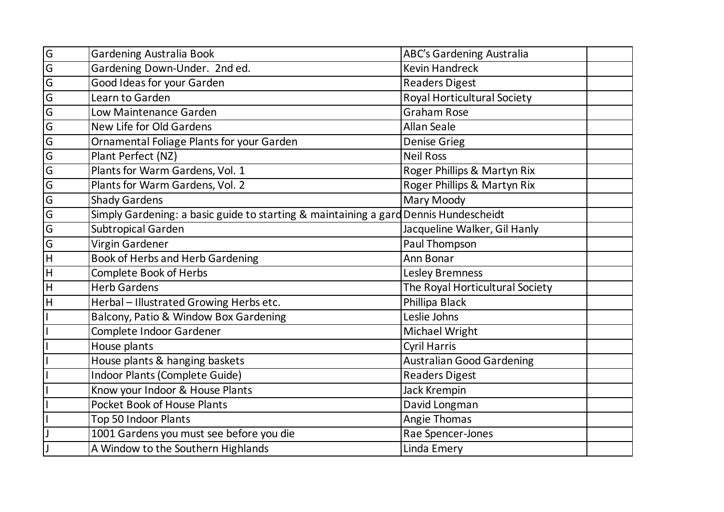| G              | <b>Gardening Australia Book</b>                                                      | ABC's Gardening Australia          |  |
|----------------|--------------------------------------------------------------------------------------|------------------------------------|--|
| G              | Gardening Down-Under. 2nd ed.                                                        | <b>Kevin Handreck</b>              |  |
| $\overline{G}$ | <b>Good Ideas for your Garden</b>                                                    | <b>Readers Digest</b>              |  |
| $\overline{G}$ | Learn to Garden                                                                      | <b>Royal Horticultural Society</b> |  |
| $\overline{G}$ | Low Maintenance Garden                                                               | <b>Graham Rose</b>                 |  |
| $\overline{G}$ | New Life for Old Gardens                                                             | <b>Allan Seale</b>                 |  |
| $\overline{G}$ | Ornamental Foliage Plants for your Garden                                            | <b>Denise Grieg</b>                |  |
| $\overline{G}$ | Plant Perfect (NZ)                                                                   | <b>Neil Ross</b>                   |  |
| $\overline{G}$ | Plants for Warm Gardens, Vol. 1                                                      | Roger Phillips & Martyn Rix        |  |
| $\overline{G}$ | Plants for Warm Gardens, Vol. 2                                                      | Roger Phillips & Martyn Rix        |  |
| $\overline{G}$ | <b>Shady Gardens</b>                                                                 | Mary Moody                         |  |
| $\overline{G}$ | Simply Gardening: a basic guide to starting & maintaining a gard Dennis Hundescheidt |                                    |  |
| $\overline{G}$ | Subtropical Garden                                                                   | Jacqueline Walker, Gil Hanly       |  |
| $\overline{G}$ | Virgin Gardener                                                                      | Paul Thompson                      |  |
| $\overline{H}$ | <b>Book of Herbs and Herb Gardening</b>                                              | Ann Bonar                          |  |
| H              | <b>Complete Book of Herbs</b>                                                        | <b>Lesley Bremness</b>             |  |
| H              | <b>Herb Gardens</b>                                                                  | The Royal Horticultural Society    |  |
| $\overline{H}$ | Herbal - Illustrated Growing Herbs etc.                                              | Phillipa Black                     |  |
|                | Balcony, Patio & Window Box Gardening                                                | Leslie Johns                       |  |
|                | Complete Indoor Gardener                                                             | Michael Wright                     |  |
|                | House plants                                                                         | <b>Cyril Harris</b>                |  |
|                | House plants & hanging baskets                                                       | <b>Australian Good Gardening</b>   |  |
|                | Indoor Plants (Complete Guide)                                                       | <b>Readers Digest</b>              |  |
|                | Know your Indoor & House Plants                                                      | Jack Krempin                       |  |
|                | Pocket Book of House Plants                                                          | David Longman                      |  |
|                | Top 50 Indoor Plants                                                                 | Angie Thomas                       |  |
|                | 1001 Gardens you must see before you die                                             | Rae Spencer-Jones                  |  |
|                | A Window to the Southern Highlands                                                   | Linda Emery                        |  |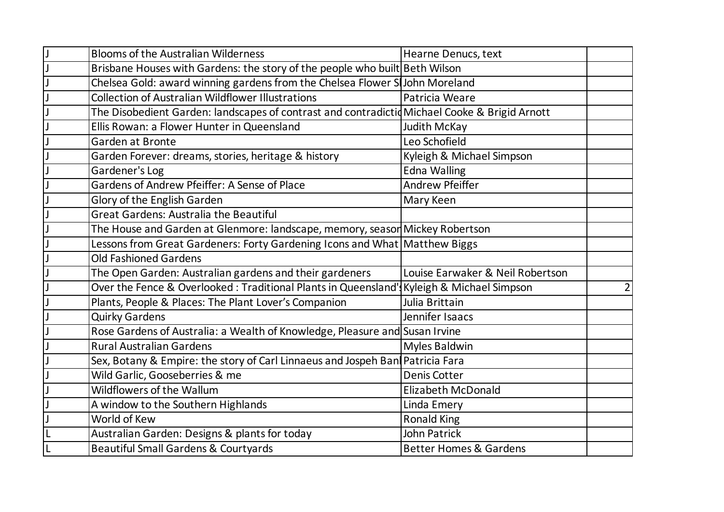| <b>Blooms of the Australian Wilderness</b>                                                    |                                   |                |
|-----------------------------------------------------------------------------------------------|-----------------------------------|----------------|
|                                                                                               | Hearne Denucs, text               |                |
| Brisbane Houses with Gardens: the story of the people who built Beth Wilson                   |                                   |                |
| Chelsea Gold: award winning gardens from the Chelsea Flower SlJohn Moreland                   |                                   |                |
| <b>Collection of Australian Wildflower Illustrations</b>                                      | Patricia Weare                    |                |
| The Disobedient Garden: landscapes of contrast and contradictid Michael Cooke & Brigid Arnott |                                   |                |
| Ellis Rowan: a Flower Hunter in Queensland                                                    | Judith McKay                      |                |
| Garden at Bronte                                                                              | Leo Schofield                     |                |
| Garden Forever: dreams, stories, heritage & history                                           | Kyleigh & Michael Simpson         |                |
| Gardener's Log                                                                                | Edna Walling                      |                |
| Gardens of Andrew Pfeiffer: A Sense of Place                                                  | <b>Andrew Pfeiffer</b>            |                |
| Glory of the English Garden                                                                   | Mary Keen                         |                |
| <b>Great Gardens: Australia the Beautiful</b>                                                 |                                   |                |
| The House and Garden at Glenmore: landscape, memory, seasor Mickey Robertson                  |                                   |                |
| Lessons from Great Gardeners: Forty Gardening Icons and What   Matthew Biggs                  |                                   |                |
| <b>Old Fashioned Gardens</b>                                                                  |                                   |                |
| The Open Garden: Australian gardens and their gardeners                                       | Louise Earwaker & Neil Robertson  |                |
| Over the Fence & Overlooked: Traditional Plants in Queensland' Kyleigh & Michael Simpson      |                                   | $\overline{2}$ |
| Plants, People & Places: The Plant Lover's Companion                                          | Julia Brittain                    |                |
| <b>Quirky Gardens</b>                                                                         | Jennifer Isaacs                   |                |
| Rose Gardens of Australia: a Wealth of Knowledge, Pleasure and Susan Irvine                   |                                   |                |
| <b>Rural Australian Gardens</b>                                                               | <b>Myles Baldwin</b>              |                |
| Sex, Botany & Empire: the story of Carl Linnaeus and Jospeh Ban Patricia Fara                 |                                   |                |
| Wild Garlic, Gooseberries & me                                                                | Denis Cotter                      |                |
| <b>Wildflowers of the Wallum</b>                                                              | <b>Elizabeth McDonald</b>         |                |
| A window to the Southern Highlands                                                            | Linda Emery                       |                |
| World of Kew                                                                                  | <b>Ronald King</b>                |                |
| Australian Garden: Designs & plants for today                                                 | <b>John Patrick</b>               |                |
| <b>Beautiful Small Gardens &amp; Courtyards</b>                                               | <b>Better Homes &amp; Gardens</b> |                |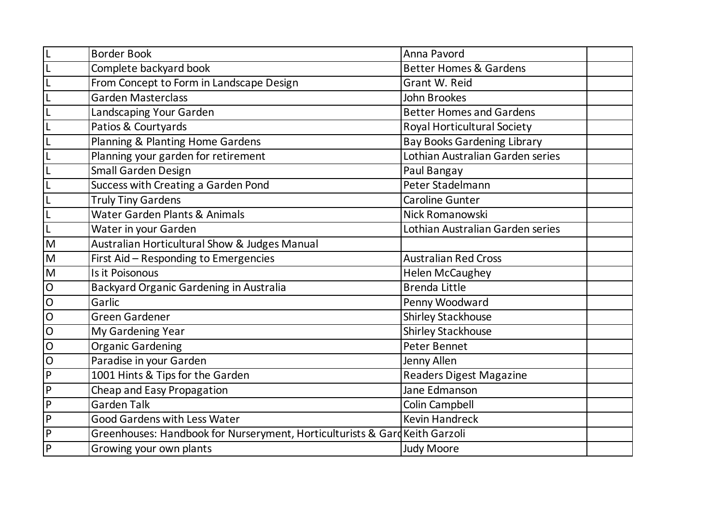|                | <b>Border Book</b>                                                          | Anna Pavord                        |  |
|----------------|-----------------------------------------------------------------------------|------------------------------------|--|
|                | Complete backyard book                                                      | <b>Better Homes &amp; Gardens</b>  |  |
|                | From Concept to Form in Landscape Design                                    | <b>Grant W. Reid</b>               |  |
|                | <b>Garden Masterclass</b>                                                   | John Brookes                       |  |
|                | Landscaping Your Garden                                                     | <b>Better Homes and Gardens</b>    |  |
|                | Patios & Courtyards                                                         | <b>Royal Horticultural Society</b> |  |
|                | Planning & Planting Home Gardens                                            | <b>Bay Books Gardening Library</b> |  |
|                | Planning your garden for retirement                                         | Lothian Australian Garden series   |  |
|                | Small Garden Design                                                         | Paul Bangay                        |  |
|                | Success with Creating a Garden Pond                                         | Peter Stadelmann                   |  |
|                | <b>Truly Tiny Gardens</b>                                                   | <b>Caroline Gunter</b>             |  |
|                | Water Garden Plants & Animals                                               | Nick Romanowski                    |  |
|                | Water in your Garden                                                        | Lothian Australian Garden series   |  |
| M              | Australian Horticultural Show & Judges Manual                               |                                    |  |
| M              | First Aid - Responding to Emergencies                                       | <b>Australian Red Cross</b>        |  |
| M              | Is it Poisonous                                                             | <b>Helen McCaughey</b>             |  |
| $\mathsf{O}$   | Backyard Organic Gardening in Australia                                     | <b>Brenda Little</b>               |  |
| $\mathsf O$    | Garlic                                                                      | Penny Woodward                     |  |
| $\mathsf{O}$   | <b>Green Gardener</b>                                                       | <b>Shirley Stackhouse</b>          |  |
| $\overline{O}$ | My Gardening Year                                                           | <b>Shirley Stackhouse</b>          |  |
| $\mathsf{O}$   | <b>Organic Gardening</b>                                                    | <b>Peter Bennet</b>                |  |
| $\mathsf{O}$   | Paradise in your Garden                                                     | Jenny Allen                        |  |
| P              | 1001 Hints & Tips for the Garden                                            | Readers Digest Magazine            |  |
| P              | Cheap and Easy Propagation                                                  | Jane Edmanson                      |  |
| $\mathsf{P}$   | <b>Garden Talk</b>                                                          | <b>Colin Campbell</b>              |  |
| P              | <b>Good Gardens with Less Water</b>                                         | <b>Kevin Handreck</b>              |  |
| P              | Greenhouses: Handbook for Nurseryment, Horticulturists & Gard Keith Garzoli |                                    |  |
| P              | Growing your own plants                                                     | <b>Judy Moore</b>                  |  |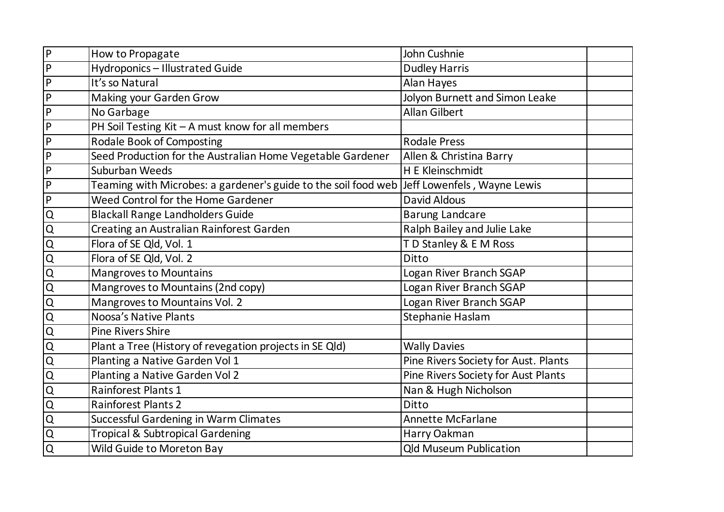| $\overline{P}$                      | How to Propagate                                               | John Cushnie                         |  |
|-------------------------------------|----------------------------------------------------------------|--------------------------------------|--|
| $\overline{P}$                      | <b>Hydroponics - Illustrated Guide</b>                         | <b>Dudley Harris</b>                 |  |
| $\overline{P}$                      | It's so Natural                                                | Alan Hayes                           |  |
| $\vert P \vert$                     | Making your Garden Grow                                        | Jolyon Burnett and Simon Leake       |  |
| $\mathsf{P}$                        | No Garbage                                                     | <b>Allan Gilbert</b>                 |  |
| P                                   | PH Soil Testing Kit - A must know for all members              |                                      |  |
| $\mathsf{P}$                        | <b>Rodale Book of Composting</b>                               | <b>Rodale Press</b>                  |  |
| $\mathsf{P}$                        | Seed Production for the Australian Home Vegetable Gardener     | Allen & Christina Barry              |  |
| $\mathsf{P}$                        | Suburban Weeds                                                 | H E Kleinschmidt                     |  |
| $\vert P$                           | Teaming with Microbes: a gardener's guide to the soil food web | Jeff Lowenfels, Wayne Lewis          |  |
| $\overline{P}$                      | Weed Control for the Home Gardener                             | <b>David Aldous</b>                  |  |
| $\Omega$                            | <b>Blackall Range Landholders Guide</b>                        | <b>Barung Landcare</b>               |  |
| $\overline{Q}$                      | Creating an Australian Rainforest Garden                       | Ralph Bailey and Julie Lake          |  |
| $\overline{Q}$                      | Flora of SE Qld, Vol. 1                                        | TD Stanley & E M Ross                |  |
| $\overline{Q}$                      | Flora of SE Qld, Vol. 2                                        | Ditto                                |  |
| $\overline{Q}$                      | <b>Mangroves to Mountains</b>                                  | Logan River Branch SGAP              |  |
| $\overline{Q}$                      | Mangroves to Mountains (2nd copy)                              | Logan River Branch SGAP              |  |
| $\frac{\overline{Q}}{\overline{Q}}$ | Mangroves to Mountains Vol. 2                                  | Logan River Branch SGAP              |  |
|                                     | Noosa's Native Plants                                          | Stephanie Haslam                     |  |
| $\overline{Q}$                      | <b>Pine Rivers Shire</b>                                       |                                      |  |
| $\overline{Q}$                      | Plant a Tree (History of revegation projects in SE Qld)        | <b>Wally Davies</b>                  |  |
| $\overline{Q}$                      | Planting a Native Garden Vol 1                                 | Pine Rivers Society for Aust. Plants |  |
| $\overline{Q}$                      | Planting a Native Garden Vol 2                                 | Pine Rivers Society for Aust Plants  |  |
| $\overline{Q}$                      | <b>Rainforest Plants 1</b>                                     | Nan & Hugh Nicholson                 |  |
| $\overline{\mathsf{Q}}$             | <b>Rainforest Plants 2</b>                                     | Ditto                                |  |
| $\overline{Q}$                      | <b>Successful Gardening in Warm Climates</b>                   | <b>Annette McFarlane</b>             |  |
| $\overline{Q}$                      | <b>Tropical &amp; Subtropical Gardening</b>                    | Harry Oakman                         |  |
| $\overline{Q}$                      | Wild Guide to Moreton Bay                                      | <b>Qld Museum Publication</b>        |  |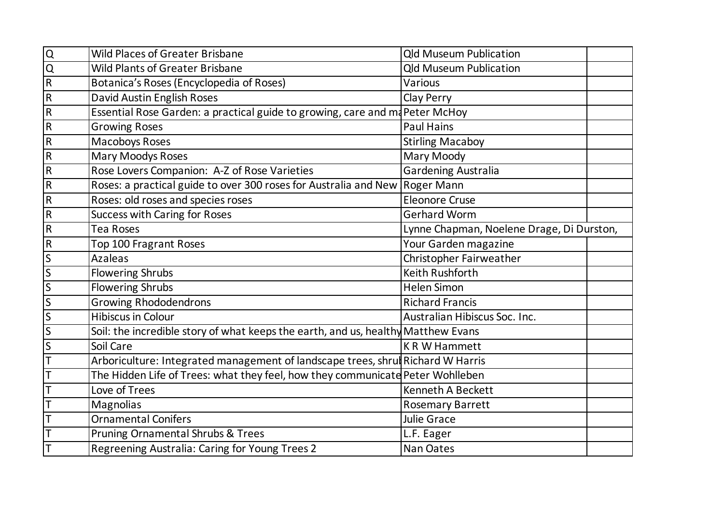| $\mathsf Q$    | <b>Wild Places of Greater Brisbane</b>                                            | <b>Qld Museum Publication</b>             |  |
|----------------|-----------------------------------------------------------------------------------|-------------------------------------------|--|
| $\overline{Q}$ | <b>Wild Plants of Greater Brisbane</b>                                            | <b>Qld Museum Publication</b>             |  |
| $\mathsf R$    | Botanica's Roses (Encyclopedia of Roses)                                          | Various                                   |  |
| $\mathsf R$    | David Austin English Roses                                                        | Clay Perry                                |  |
| ${\sf R}$      | Essential Rose Garden: a practical guide to growing, care and ma Peter McHoy      |                                           |  |
| $\mathsf R$    | <b>Growing Roses</b>                                                              | <b>Paul Hains</b>                         |  |
| $\mathsf R$    | <b>Macoboys Roses</b>                                                             | <b>Stirling Macaboy</b>                   |  |
| $\mathsf R$    | <b>Mary Moodys Roses</b>                                                          | Mary Moody                                |  |
| $\mathsf R$    | Rose Lovers Companion: A-Z of Rose Varieties                                      | Gardening Australia                       |  |
| $\mathsf R$    | Roses: a practical guide to over 300 roses for Australia and New                  | <b>Roger Mann</b>                         |  |
| ${\sf R}$      | Roses: old roses and species roses                                                | <b>Eleonore Cruse</b>                     |  |
| $\mathsf R$    | <b>Success with Caring for Roses</b>                                              | <b>Gerhard Worm</b>                       |  |
| $\mathsf{R}$   | Tea Roses                                                                         | Lynne Chapman, Noelene Drage, Di Durston, |  |
| ${\sf R}$      | Top 100 Fragrant Roses                                                            | Your Garden magazine                      |  |
| S              | <b>Azaleas</b>                                                                    | Christopher Fairweather                   |  |
| $\mathsf S$    | <b>Flowering Shrubs</b>                                                           | Keith Rushforth                           |  |
| $\mathsf{S}$   | <b>Flowering Shrubs</b>                                                           | <b>Helen Simon</b>                        |  |
| S              | <b>Growing Rhododendrons</b>                                                      | <b>Richard Francis</b>                    |  |
| S              | <b>Hibiscus in Colour</b>                                                         | Australian Hibiscus Soc. Inc.             |  |
| $\sf S$        | Soil: the incredible story of what keeps the earth, and us, healthy Matthew Evans |                                           |  |
| S              | Soil Care                                                                         | <b>KRW Hammett</b>                        |  |
|                | Arboriculture: Integrated management of landscape trees, shrul Richard W Harris   |                                           |  |
|                | The Hidden Life of Trees: what they feel, how they communicate Peter Wohlleben    |                                           |  |
|                | Love of Trees                                                                     | <b>Kenneth A Beckett</b>                  |  |
|                | Magnolias                                                                         | <b>Rosemary Barrett</b>                   |  |
|                | <b>Ornamental Conifers</b>                                                        | <b>Julie Grace</b>                        |  |
|                | Pruning Ornamental Shrubs & Trees                                                 | L.F. Eager                                |  |
|                | Regreening Australia: Caring for Young Trees 2                                    | <b>Nan Oates</b>                          |  |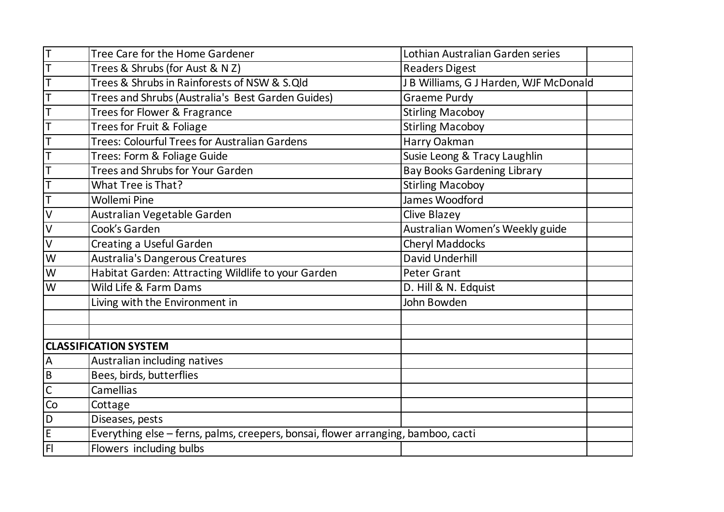| $\mathsf T$    | Tree Care for the Home Gardener                                                   | Lothian Australian Garden series       |  |
|----------------|-----------------------------------------------------------------------------------|----------------------------------------|--|
| $\mathsf T$    | Trees & Shrubs (for Aust & N Z)                                                   | <b>Readers Digest</b>                  |  |
| T              | Trees & Shrubs in Rainforests of NSW & S.Qld                                      | J B Williams, G J Harden, WJF McDonald |  |
| T              | Trees and Shrubs (Australia's Best Garden Guides)                                 | <b>Graeme Purdy</b>                    |  |
| T              | Trees for Flower & Fragrance                                                      | <b>Stirling Macoboy</b>                |  |
| T              | Trees for Fruit & Foliage                                                         | <b>Stirling Macoboy</b>                |  |
| T              | Trees: Colourful Trees for Australian Gardens                                     | Harry Oakman                           |  |
| T              | Trees: Form & Foliage Guide                                                       | Susie Leong & Tracy Laughlin           |  |
| T              | Trees and Shrubs for Your Garden                                                  | <b>Bay Books Gardening Library</b>     |  |
| $\mathsf T$    | What Tree is That?                                                                | <b>Stirling Macoboy</b>                |  |
| $\mathsf T$    | <b>Wollemi Pine</b>                                                               | James Woodford                         |  |
| $\vee$         | Australian Vegetable Garden                                                       | <b>Clive Blazey</b>                    |  |
| $\sf V$        | Cook's Garden                                                                     | Australian Women's Weekly guide        |  |
| $\vee$         | Creating a Useful Garden                                                          | <b>Cheryl Maddocks</b>                 |  |
| W              | Australia's Dangerous Creatures                                                   | David Underhill                        |  |
| W              | Habitat Garden: Attracting Wildlife to your Garden                                | <b>Peter Grant</b>                     |  |
| W              | Wild Life & Farm Dams                                                             | D. Hill & N. Edquist                   |  |
|                | Living with the Environment in                                                    | John Bowden                            |  |
|                |                                                                                   |                                        |  |
|                |                                                                                   |                                        |  |
|                | <b>CLASSIFICATION SYSTEM</b>                                                      |                                        |  |
| $\mathsf A$    | Australian including natives                                                      |                                        |  |
| $\overline{B}$ | Bees, birds, butterflies                                                          |                                        |  |
| $\mathsf{C}$   | Camellias                                                                         |                                        |  |
| Co             | Cottage                                                                           |                                        |  |
| D              | Diseases, pests                                                                   |                                        |  |
| $\mathsf E$    | Everything else - ferns, palms, creepers, bonsai, flower arranging, bamboo, cacti |                                        |  |
| F <sub>l</sub> | Flowers including bulbs                                                           |                                        |  |